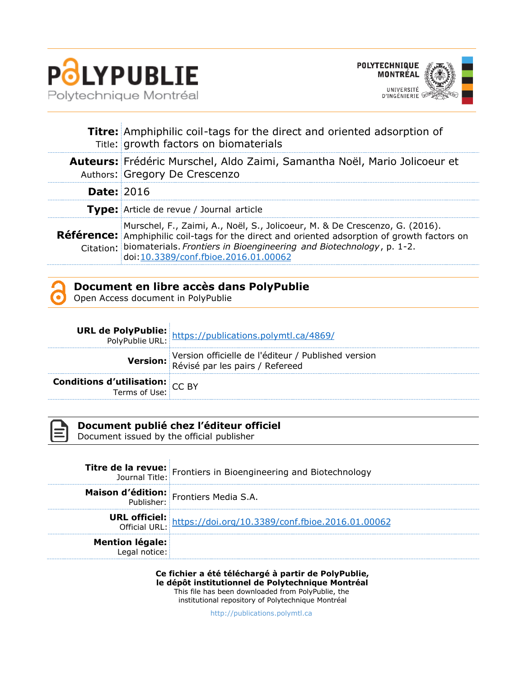

 $\bar{1}$ 



|                   | Titre: Amphiphilic coil-tags for the direct and oriented adsorption of<br>Title: growth factors on biomaterials                                                                                                                                                                                              |  |
|-------------------|--------------------------------------------------------------------------------------------------------------------------------------------------------------------------------------------------------------------------------------------------------------------------------------------------------------|--|
|                   | Auteurs: Frédéric Murschel, Aldo Zaimi, Samantha Noël, Mario Jolicoeur et<br>Authors: Gregory De Crescenzo                                                                                                                                                                                                   |  |
| <b>Date: 2016</b> |                                                                                                                                                                                                                                                                                                              |  |
|                   | Type: Article de revue / Journal article                                                                                                                                                                                                                                                                     |  |
|                   | Murschel, F., Zaimi, A., Noël, S., Jolicoeur, M. & De Crescenzo, G. (2016).<br><b>Référence:</b> Amphiphilic coil-tags for the direct and oriented adsorption of growth factors on<br>Citation: biomaterials. Frontiers in Bioengineering and Biotechnology, p. 1-2.<br>doi:10.3389/conf.fbioe.2016.01.00062 |  |



## **Document en libre accès dans PolyPublie**

Open Access document in PolyPublie

|                                                           | <b>URL de PolyPublie:</b><br>PolyPublie URL: https://publications.polymtl.ca/4869/     |
|-----------------------------------------------------------|----------------------------------------------------------------------------------------|
|                                                           | Version officielle de l'éditeur / Published version<br>Révisé par les pairs / Refereed |
| <b>Conditions d'utilisation:</b> $CC$ BY<br>Terms of Use: |                                                                                        |



### **Document publié chez l'éditeur officiel**

Document issued by the official publisher

|                        | <b>Titre de la revue:</b> Frontiers in Bioengineering and Biotechnology |
|------------------------|-------------------------------------------------------------------------|
|                        | <b>Maison d'édition:</b> Frontiers Media S.A.                           |
|                        | URL officiel: https://doi.org/10.3389/conf.fbioe.2016.01.00062          |
| <b>Mention légale:</b> |                                                                         |

**Ce fichier a été téléchargé à partir de PolyPublie, le dépôt institutionnel de Polytechnique Montréal** This file has been downloaded from PolyPublie, the institutional repository of Polytechnique Montréal

[http://publications.polymtl.ca](http://publications.polymtl.ca/)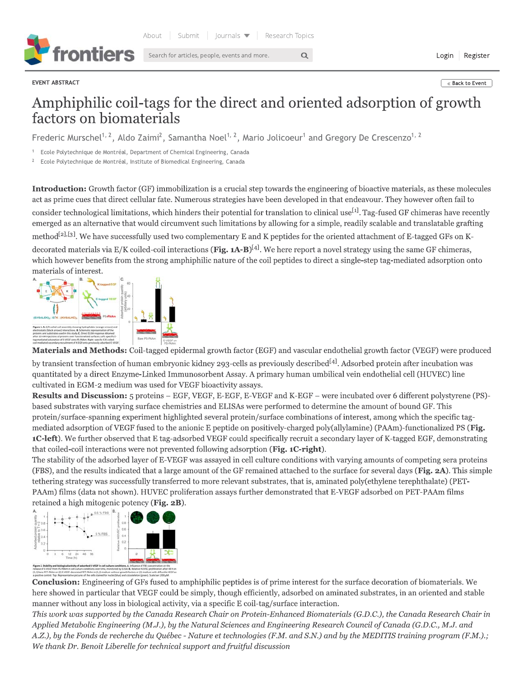Search for articles, people, events and more.



EVENT ABSTRACT

Login Register

#### « Back to Event

# Amphiphilic coil-tags for the direct and oriented adsorption of growth factors on biomaterials

 $\alpha$ 

Frederic Murschel<sup>1, 2</sup>, Aldo Zaimi<sup>2</sup>, Samantha Noel<sup>1, 2</sup>, Mario Jolicoeur<sup>1</sup> and Gregory De Crescenzo<sup>1, 2</sup>

Ecole Polytechnique de Montréal, Department of Chemical Engineering, Canada

Ecole Polytechnique de Montréal, Institute of Biomedical Engineering, Canada

Introduction: Growth factor (GF) immobilization is a crucial step towards the engineering of bioactive materials, as these molecules act as prime cues that direct cellular fate. Numerous strategies have been developed in that endeavour. They however often fail to consider technological limitations, which hinders their potential for translation to clinical use<sup>[1]</sup>. Tag-fused GF chimeras have recently emerged as an alternative that would circumvent such limitations by allowing for a simple, readily scalable and translatable grafting method<sup>[2],[3]</sup>. We have successfully used two complementary E and K peptides for the oriented attachment of E-tagged GFs on Kdecorated materials via  $E/K$  coiled-coil interactions (Fig. 1A-B)<sup>[4]</sup>. We here report a novel strategy using the same GF chimeras, which however benefits from the strong amphiphilic nature of the coil peptides to direct a single-step tag-mediated adsorption onto materials of interest.



Materials and Methods: Coil-tagged epidermal growth factor (EGF) and vascular endothelial growth factor (VEGF) were produced

by transient transfection of human embryonic kidney 293-cells as previously described<sup>[4]</sup>. Adsorbed protein after incubation was quantitated by a direct Enzyme-Linked Immunosorbent Assay. A primary human umbilical vein endothelial cell (HUVEC) line cultivated in EGM-2 medium was used for VEGF bioactivity assays.

Results and Discussion: 5 proteins - EGF, VEGF, E-EGF, E-VEGF and K-EGF - were incubated over 6 different polystyrene (PS)based substrates with varying surface chemistries and ELISAs were performed to determine the amount of bound GF. This protein/surface-spanning experiment highlighted several protein/surface combinations of interest, among which the specific tagmediated adsorption of VEGF fused to the anionic E peptide on positively-charged poly(allylamine) (PAAm)-functionalized PS (Fig. **1C-left**). We further observed that E tag-adsorbed VEGF could specifically recruit a secondary layer of K-tagged EGF, demonstrating that coiled-coil interactions were not prevented following adsorption (Fig. 1C-right).

The stability of the adsorbed layer of E-VEGF was assayed in cell culture conditions with varying amounts of competing sera proteins (FBS), and the results indicated that a large amount of the GF remained attached to the surface for several days (Fig. 2A). This simple tethering strategy was successfully transferred to more relevant substrates, that is, aminated poly(ethylene terephthalate) (PET-PAAm) films (data not shown). HUVEC proliferation assays further demonstrated that E-VEGF adsorbed on PET-PAAm films retained a high mitogenic potency (Fig. 2B).



**Conclusion:** Engineering of GFs fused to amphiphilic peptides is of prime interest for the surface decoration of biomaterials. We here showed in particular that VEGF could be simply, though efficiently, adsorbed on aminated substrates, in an oriented and stable manner without any loss in biological activity, via a specific E coil-tag/surface interaction.

This work was supported by the Canada Research Chair on Protein-Enhanced Biomaterials (G.D.C.), the Canada Research Chair in Applied Metabolic Engineering (M.J.), by the Natural Sciences and Engineering Research Council of Canada (G.D.C., M.J. and A.Z.), by the Fonds de recherche du Québec - Nature et technologies (F.M. and S.N.) and by the MEDITIS training program (F.M.).; We thank Dr. Benoit Liberelle for technical support and fruitful discussion